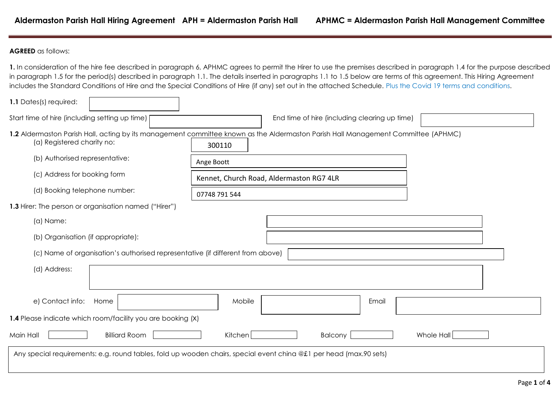## **AGREED** as follows:

**1.** In consideration of the hire fee described in paragraph 6, APHMC agrees to permit the Hirer to use the premises described in paragraph 1.4 for the purpose described in paragraph 1.5 for the period(s) described in paragraph 1.1. The details inserted in paragraphs 1.1 to 1.5 below are terms of this agreement. This Hiring Agreement includes the Standard Conditions of Hire and the Special Conditions of Hire (if any) set out in the attached Schedule. Plus the Covid 19 terms and conditions.

| 1.1 Dates(s) required:                                                         |                                                                                                                                             |  |  |
|--------------------------------------------------------------------------------|---------------------------------------------------------------------------------------------------------------------------------------------|--|--|
| Start time of hire (including setting up time)                                 | End time of hire (including clearing up time)                                                                                               |  |  |
| (a) Registered charity no:                                                     | 1.2 Aldermaston Parish Hall, acting by its management committee known as the Aldermaston Parish Hall Management Committee (APHMC)<br>300110 |  |  |
| (b) Authorised representative:                                                 | Ange Boott                                                                                                                                  |  |  |
| (c) Address for booking form                                                   | Kennet, Church Road, Aldermaston RG7 4LR                                                                                                    |  |  |
| (d) Booking telephone number:                                                  | 07748 791 544                                                                                                                               |  |  |
| 1.3 Hirer: The person or organisation named ("Hirer")                          |                                                                                                                                             |  |  |
| (a) Name:                                                                      |                                                                                                                                             |  |  |
| (b) Organisation (if appropriate):                                             |                                                                                                                                             |  |  |
| (c) Name of organisation's authorised representative (if different from above) |                                                                                                                                             |  |  |
| (d) Address:                                                                   |                                                                                                                                             |  |  |
|                                                                                |                                                                                                                                             |  |  |
| e) Contact info:<br>Home                                                       | Mobile<br>Email                                                                                                                             |  |  |
| 1.4 Please indicate which room/facility you are booking (X)                    |                                                                                                                                             |  |  |
| <b>Billiard Room</b><br>Main Hall                                              | Whole Hall<br>Kitchen<br><b>Balcony</b>                                                                                                     |  |  |
|                                                                                | Any special requirements: e.g. round tables, fold up wooden chairs, special event china @£1 per head (max.90 sets)                          |  |  |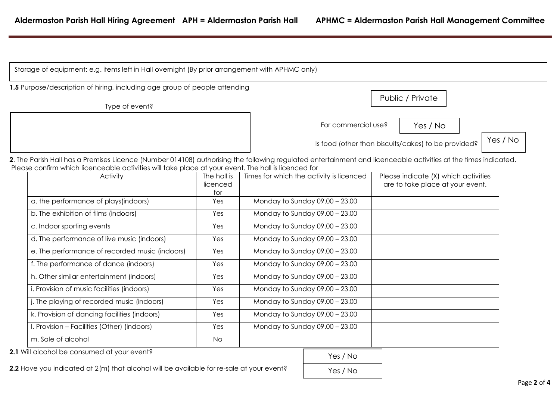| 1.5 Purpose/description of hiring, including age group of people attending |                                                                 |
|----------------------------------------------------------------------------|-----------------------------------------------------------------|
|                                                                            | Public / Private                                                |
| Type of event?                                                             |                                                                 |
|                                                                            | For commercial use?<br>Yes / No                                 |
|                                                                            | Yes / No<br>Is food (other than biscuits/cakes) to be provided? |

| <b>Activity</b>                                | The hall is<br>licenced<br>for | Times for which the activity is licenced | Please indicate (X) which activities<br>are to take place at your event. |
|------------------------------------------------|--------------------------------|------------------------------------------|--------------------------------------------------------------------------|
| a. the performance of plays (indoors)          | Yes                            | Monday to Sunday $09.00 - 23.00$         |                                                                          |
| b. The exhibition of films (indoors)           | Yes                            | Monday to Sunday $09.00 - 23.00$         |                                                                          |
| c. Indoor sporting events                      | Yes                            | Monday to Sunday $09.00 - 23.00$         |                                                                          |
| d. The performance of live music (indoors)     | Yes                            | Monday to Sunday $09.00 - 23.00$         |                                                                          |
| e. The performance of recorded music (indoors) | Yes                            | Monday to Sunday $09.00 - 23.00$         |                                                                          |
| f. The performance of dance (indoors)          | Yes                            | Monday to Sunday $09.00 - 23.00$         |                                                                          |
| h. Other similar entertainment (indoors)       | Yes                            | Monday to Sunday $09.00 - 23.00$         |                                                                          |
| i. Provision of music facilities (indoors)     | Yes                            | Monday to Sunday $09.00 - 23.00$         |                                                                          |
| j. The playing of recorded music (indoors)     | Yes                            | Monday to Sunday $09.00 - 23.00$         |                                                                          |
| k. Provision of dancing facilities (indoors)   | Yes                            | Monday to Sunday $09.00 - 23.00$         |                                                                          |
| I. Provision – Facilities (Other) (indoors)    | Yes                            | Monday to Sunday $09.00 - 23.00$         |                                                                          |
| m. Sale of alcohol<br>.                        | No.                            |                                          |                                                                          |

**2.1** Will alcohol be consumed at your event?

| <b>2.2</b> Have you indicated at 2(m) that alcohol will be available for re-sale at your event? |  |
|-------------------------------------------------------------------------------------------------|--|
|-------------------------------------------------------------------------------------------------|--|

| Yes / No |
|----------|
| Yes / No |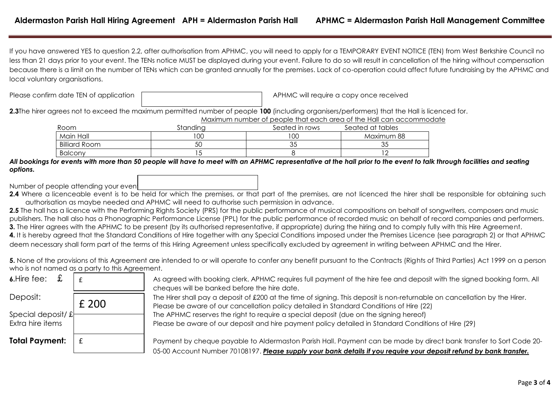If you have answered YES to question 2.2, after authorisation from APHMC, you will need to apply for a TEMPORARY EVENT NOTICE (TEN) from West Berkshire Council no less than 21 days prior to your event. The TENs notice MUST be displayed during your event. Failure to do so will result in cancellation of the hiring without compensation because there is a limit on the number of TENs which can be granted annually for the premises. Lack of co-operation could affect future fundraising by the APHMC and local voluntary organisations.

Please confirm date TEN of application [Calcular Content of APHMC will require a copy once received

**2.3**The hirer agrees not to exceed the maximum permitted number of people **100** (including organisers/performers) that the Hall is licenced for. Maximum number of people that each area of the Hall can accommodate

| Room                 | Standina | Seated in rows | Seated at tables |
|----------------------|----------|----------------|------------------|
| Main Hall            | 0C       | <sub>0</sub>   | Maximum 88       |
| <b>Billiard Room</b> | 50       | ◡◡             | vu               |
| <b>Balcony</b>       |          |                |                  |

*All bookings for events with more than 50 people will have to meet with an APHMC representative at the hall prior to the event to talk through facilities and seating options.*

Number of people attending your event

**2.4** Where a licenceable event is to be held for which the premises, or that part of the premises, are not licenced the hirer shall be responsible for obtaining such authorisation as maybe needed and APHMC will need to authorise such permission in advance.

2.5 The hall has a licence with the Performing Rights Society (PRS) for the public performance of musical compositions on behalf of sonawriters, composers and music publishers. The hall also has a Phonographic Performance License (PPL) for the public performance of recorded music on behalf of record companies and performers. **3.** The Hirer agrees with the APHMC to be present (by its authorised representative, if appropriate) during the hiring and to comply fully with this Hire Agreement. **4.** It is hereby agreed that the Standard Conditions of Hire together with any Special Conditions imposed under the Premises Licence (see paragraph 2) or that APHMC deem necessary shall form part of the terms of this Hiring Agreement unless specifically excluded by agreement in writing between APHMC and the Hirer.

**5.** None of the provisions of this Agreement are intended to or will operate to confer any benefit pursuant to the Contracts (Rights of Third Parties) Act 1999 on a person who is not named as a party to this Agreement.

| 6.Hire fee:<br>$\pm$                   |       |
|----------------------------------------|-------|
| Deposit:                               | £ 200 |
| Special deposit/ £<br>Extra hire items |       |
| <b>Total Payment:</b>                  |       |

As agreed with booking clerk. APHMC requires full payment of the hire fee and deposit with the signed booking form. All cheques will be banked before the hire date.

The Hirer shall pay a deposit of £200 at the time of signing. This deposit is non-returnable on cancellation by the Hirer.

Please be aware of our cancellation policy detailed in Standard Conditions of Hire (22)

The APHMC reserves the right to require a special deposit (due on the signing hereof)

Please be aware of our deposit and hire payment policy detailed in Standard Conditions of Hire (29)

**Total Payment:** Payment by cheque payable to Aldermaston Parish Hall. Payment can be made by direct bank transfer to Sort Code 20- 05-00 Account Number 70108197. *Please supply your bank details if you require your deposit refund by bank transfer.*